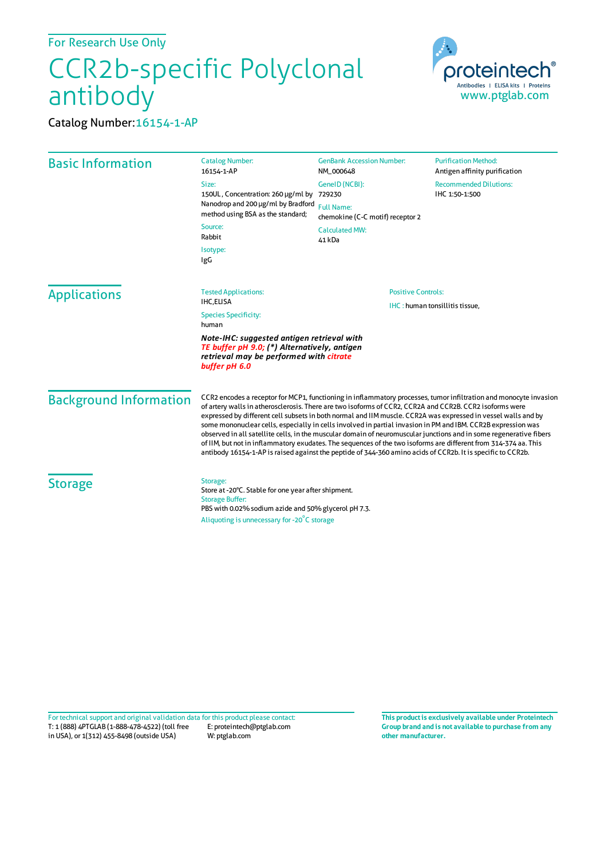## CCR2b-specific Polyclonal antibody



Catalog Number:16154-1-AP

| <b>Basic Information</b>      | <b>Catalog Number:</b><br>16154-1-AP                                                                                                                                                                                                                                                                                                                                                                                                                                                                                                                                                                                                                                                                                                                                                                                  | <b>GenBank Accession Number:</b><br>NM_000648         | <b>Purification Method:</b><br>Antigen affinity purification |  |
|-------------------------------|-----------------------------------------------------------------------------------------------------------------------------------------------------------------------------------------------------------------------------------------------------------------------------------------------------------------------------------------------------------------------------------------------------------------------------------------------------------------------------------------------------------------------------------------------------------------------------------------------------------------------------------------------------------------------------------------------------------------------------------------------------------------------------------------------------------------------|-------------------------------------------------------|--------------------------------------------------------------|--|
|                               | Size:<br>150UL, Concentration: 260 µg/ml by<br>Nanodrop and 200 µg/ml by Bradford<br>method using BSA as the standard;<br>Source:<br>Rabbit<br>Isotype:<br>IgG                                                                                                                                                                                                                                                                                                                                                                                                                                                                                                                                                                                                                                                        | GeneID (NCBI):<br>729230                              | <b>Recommended Dilutions:</b><br>IHC 1:50-1:500              |  |
|                               |                                                                                                                                                                                                                                                                                                                                                                                                                                                                                                                                                                                                                                                                                                                                                                                                                       | <b>Full Name:</b><br>chemokine (C-C motif) receptor 2 |                                                              |  |
|                               |                                                                                                                                                                                                                                                                                                                                                                                                                                                                                                                                                                                                                                                                                                                                                                                                                       | <b>Calculated MW:</b><br>41 kDa                       |                                                              |  |
|                               |                                                                                                                                                                                                                                                                                                                                                                                                                                                                                                                                                                                                                                                                                                                                                                                                                       |                                                       |                                                              |  |
| <b>Applications</b>           | <b>Tested Applications:</b><br><b>IHC.ELISA</b>                                                                                                                                                                                                                                                                                                                                                                                                                                                                                                                                                                                                                                                                                                                                                                       | <b>Positive Controls:</b>                             |                                                              |  |
|                               | <b>Species Specificity:</b><br>human                                                                                                                                                                                                                                                                                                                                                                                                                                                                                                                                                                                                                                                                                                                                                                                  | IHC: human tonsillitis tissue,                        |                                                              |  |
|                               | Note-IHC: suggested antigen retrieval with<br>TE buffer pH 9.0; (*) Alternatively, antigen<br>retrieval may be performed with citrate<br>buffer pH 6.0                                                                                                                                                                                                                                                                                                                                                                                                                                                                                                                                                                                                                                                                |                                                       |                                                              |  |
| <b>Background Information</b> | CCR2 encodes a receptor for MCP1, functioning in inflammatory processes, tumor infiltration and monocyte invasion<br>of artery walls in atherosclerosis. There are two isoforms of CCR2, CCR2A and CCR2B. CCR2 isoforms were<br>expressed by different cell subsets in both normal and IIM muscle. CCR2A was expressed in vessel walls and by<br>some mononuclear cells, especially in cells involved in partial invasion in PM and IBM. CCR2B expression was<br>observed in all satellite cells, in the muscular domain of neuromuscular junctions and in some regenerative fibers<br>of IIM, but not in inflammatory exudates. The sequences of the two isoforms are different from 314-374 aa. This<br>antibody 16154-1-AP is raised against the peptide of 344-360 amino acids of CCR2b. It is specific to CCR2b. |                                                       |                                                              |  |
| <b>Storage</b>                | Storage:<br>Store at -20°C. Stable for one year after shipment.<br><b>Storage Buffer:</b><br>PBS with 0.02% sodium azide and 50% glycerol pH 7.3.                                                                                                                                                                                                                                                                                                                                                                                                                                                                                                                                                                                                                                                                     |                                                       |                                                              |  |
|                               | Aliquoting is unnecessary for -20°C storage                                                                                                                                                                                                                                                                                                                                                                                                                                                                                                                                                                                                                                                                                                                                                                           |                                                       |                                                              |  |

T: 1 (888) 4PTGLAB (1-888-478-4522) (toll free in USA), or 1(312) 455-8498 (outside USA) E: proteintech@ptglab.com W: ptglab.com Fortechnical support and original validation data forthis product please contact: **This productis exclusively available under Proteintech**

**Group brand and is not available to purchase from any other manufacturer.**